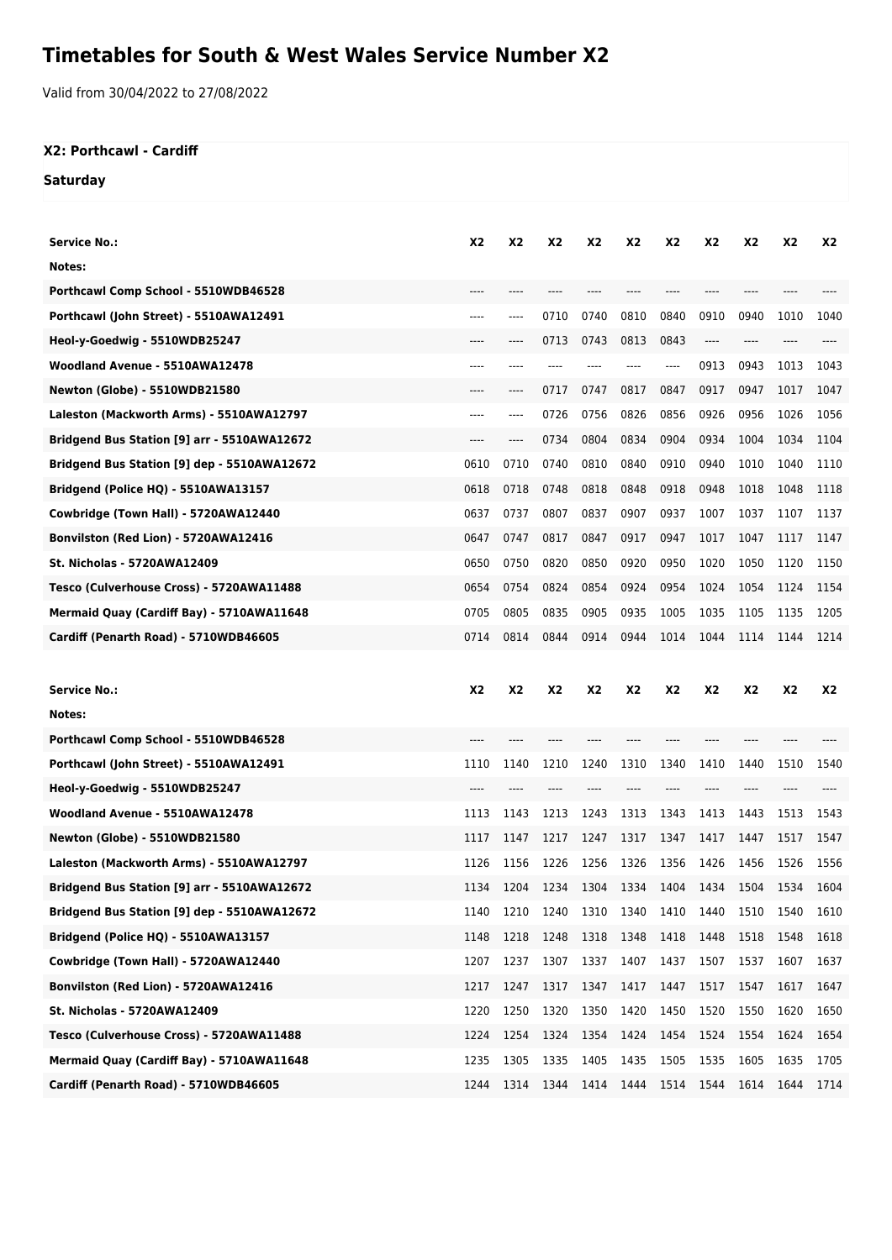# **Timetables for South & West Wales Service Number X2**

Valid from 30/04/2022 to 27/08/2022

### **X2: Porthcawl - Cardiff**

#### **Saturday**

| Service No.:                                | X2   | X2   | <b>X2</b>      | X2   | X2        | X <sub>2</sub> | X2    | <b>X2</b> | <b>X2</b>      | X2   |
|---------------------------------------------|------|------|----------------|------|-----------|----------------|-------|-----------|----------------|------|
| Notes:                                      |      |      |                |      |           |                |       |           |                |      |
| Porthcawl Comp School - 5510WDB46528        | ---- | ---- |                | ---- |           |                | $---$ | ----      |                |      |
| Porthcawl (John Street) - 5510AWA12491      | ---- | ---- | 0710           | 0740 | 0810      | 0840           | 0910  | 0940      | 1010           | 1040 |
| Heol-y-Goedwig - 5510WDB25247               |      | ---- | 0713           | 0743 | 0813      | 0843           | ----  |           |                |      |
| Woodland Avenue - 5510AWA12478              | ---- | ---- | ----           |      | ----      | ----           | 0913  | 0943      | 1013           | 1043 |
| Newton (Globe) - 5510WDB21580               | ---- | ---- | 0717           | 0747 | 0817      | 0847           | 0917  | 0947      | 1017           | 1047 |
| Laleston (Mackworth Arms) - 5510AWA12797    | ---- | ---- | 0726           | 0756 | 0826      | 0856           | 0926  | 0956      | 1026           | 1056 |
| Bridgend Bus Station [9] arr - 5510AWA12672 | ---- | ---- | 0734           | 0804 | 0834      | 0904           | 0934  | 1004      | 1034           | 1104 |
| Bridgend Bus Station [9] dep - 5510AWA12672 | 0610 | 0710 | 0740           | 0810 | 0840      | 0910           | 0940  | 1010      | 1040           | 1110 |
| Bridgend (Police HQ) - 5510AWA13157         | 0618 | 0718 | 0748           | 0818 | 0848      | 0918           | 0948  | 1018      | 1048           | 1118 |
| Cowbridge (Town Hall) - 5720AWA12440        | 0637 | 0737 | 0807           | 0837 | 0907      | 0937           | 1007  | 1037      | 1107           | 1137 |
| <b>Bonvilston (Red Lion) - 5720AWA12416</b> | 0647 | 0747 | 0817           | 0847 | 0917      | 0947           | 1017  | 1047      | 1117           | 1147 |
| St. Nicholas - 5720AWA12409                 | 0650 | 0750 | 0820           | 0850 | 0920      | 0950           | 1020  | 1050      | 1120           | 1150 |
| Tesco (Culverhouse Cross) - 5720AWA11488    | 0654 | 0754 | 0824           | 0854 | 0924      | 0954           | 1024  | 1054      | 1124           | 1154 |
| Mermaid Quay (Cardiff Bay) - 5710AWA11648   | 0705 | 0805 | 0835           | 0905 | 0935      | 1005           | 1035  | 1105      | 1135           | 1205 |
| Cardiff (Penarth Road) - 5710WDB46605       | 0714 | 0814 | 0844           | 0914 | 0944      | 1014           | 1044  | 1114      | 1144           | 1214 |
|                                             |      |      |                |      |           |                |       |           |                |      |
|                                             |      |      |                |      |           |                |       |           |                |      |
| <b>Service No.:</b>                         | X2   | X2   | X <sub>2</sub> | X2   | X2        | X <sub>2</sub> | X2    | X2        | X <sub>2</sub> | X2   |
| Notes:                                      |      |      |                |      |           |                |       |           |                |      |
| Porthcawl Comp School - 5510WDB46528        | ---- | ---- |                | ---- |           | ----           | ----  | ----      |                |      |
| Porthcawl (John Street) - 5510AWA12491      | 1110 | 1140 | 1210           | 1240 | 1310      | 1340           | 1410  | 1440      | 1510           | 1540 |
| Heol-y-Goedwig - 5510WDB25247               | ---- |      |                |      |           |                | ----  |           |                |      |
| Woodland Avenue - 5510AWA12478              | 1113 | 1143 | 1213           | 1243 | 1313      | 1343           | 1413  | 1443      | 1513           | 1543 |
| Newton (Globe) - 5510WDB21580               | 1117 | 1147 | 1217           | 1247 | 1317      | 1347           | 1417  | 1447      | 1517           | 1547 |
| Laleston (Mackworth Arms) - 5510AWA12797    | 1126 | 1156 | 1226           | 1256 | 1326      | 1356           | 1426  | 1456      | 1526           | 1556 |
| Bridgend Bus Station [9] arr - 5510AWA12672 | 1134 | 1204 | 1234           | 1304 | 1334      | 1404           | 1434  | 1504      | 1534           | 1604 |
| Bridgend Bus Station [9] dep - 5510AWA12672 | 1140 | 1210 | 1240           | 1310 | 1340 1410 |                | 1440  | 1510      | 1540           | 1610 |
| Bridgend (Police HQ) - 5510AWA13157         | 1148 | 1218 | 1248           | 1318 | 1348      | 1418           | 1448  | 1518      | 1548           | 1618 |
| Cowbridge (Town Hall) - 5720AWA12440        | 1207 | 1237 | 1307           | 1337 | 1407      | 1437           | 1507  | 1537      | 1607           | 1637 |
| <b>Bonvilston (Red Lion) - 5720AWA12416</b> | 1217 | 1247 | 1317           | 1347 | 1417      | 1447           | 1517  | 1547      | 1617           | 1647 |
| St. Nicholas - 5720AWA12409                 | 1220 | 1250 | 1320           | 1350 | 1420      | 1450           | 1520  | 1550      | 1620           | 1650 |
| Tesco (Culverhouse Cross) - 5720AWA11488    | 1224 | 1254 | 1324           | 1354 | 1424      | 1454           | 1524  | 1554      | 1624           | 1654 |
| Mermaid Quay (Cardiff Bay) - 5710AWA11648   | 1235 | 1305 | 1335           | 1405 | 1435      | 1505           | 1535  | 1605      | 1635           | 1705 |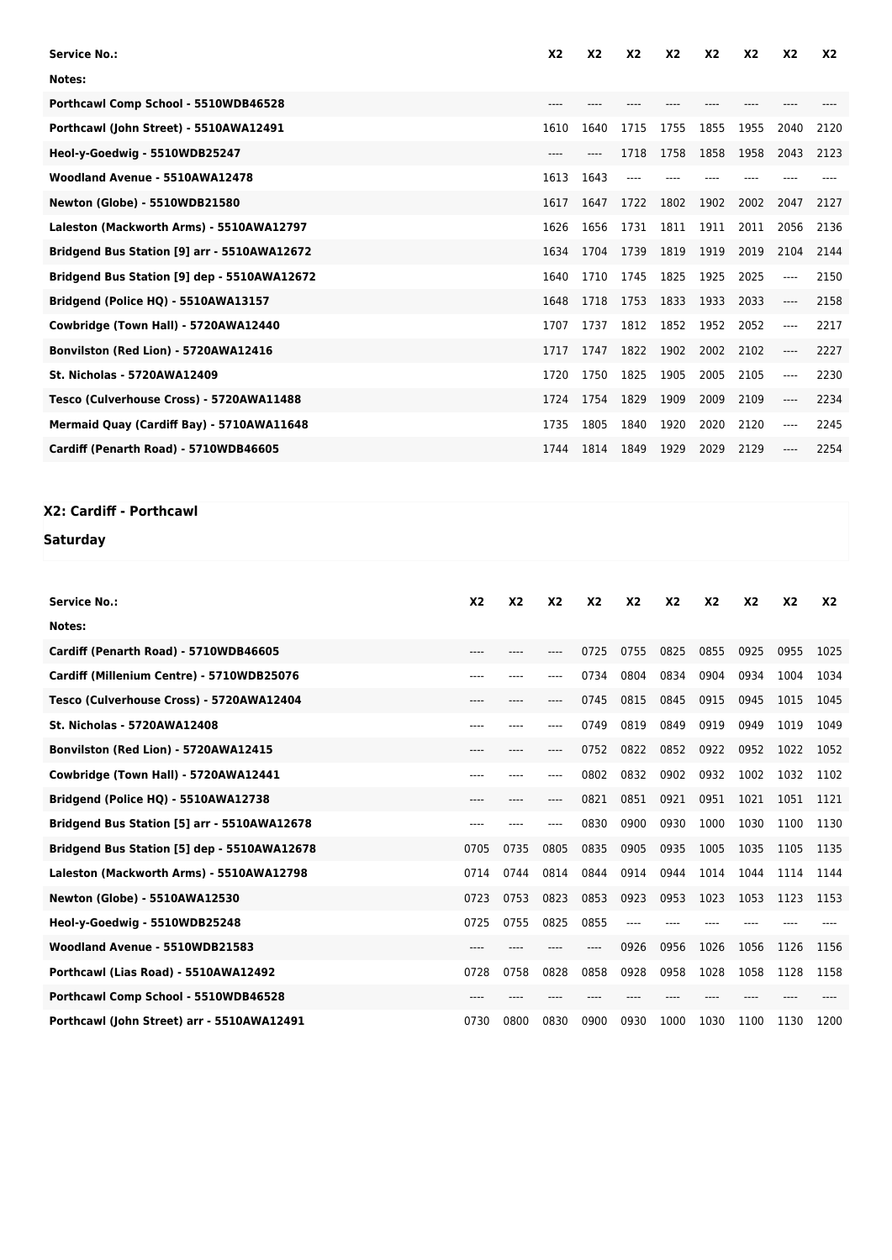| <b>Service No.:</b>                         | X <sub>2</sub> | <b>X2</b> | <b>X2</b> | <b>X2</b> | X <sub>2</sub> | X <sub>2</sub> | <b>X2</b> | <b>X2</b> |
|---------------------------------------------|----------------|-----------|-----------|-----------|----------------|----------------|-----------|-----------|
| Notes:                                      |                |           |           |           |                |                |           |           |
| Porthcawl Comp School - 5510WDB46528        | $---$          |           |           |           |                |                |           |           |
| Porthcawl (John Street) - 5510AWA12491      | 1610           | 1640      | 1715      | 1755      | 1855           | 1955           | 2040      | 2120      |
| Heol-y-Goedwig - 5510WDB25247               | $---$          |           | 1718      | 1758      | 1858           | 1958           | 2043      | 2123      |
| Woodland Avenue - 5510AWA12478              | 1613           | 1643      |           |           |                |                |           |           |
| Newton (Globe) - 5510WDB21580               | 1617           | 1647      | 1722      | 1802      | 1902           | 2002           | 2047      | 2127      |
| Laleston (Mackworth Arms) - 5510AWA12797    | 1626           | 1656      | 1731      | 1811      | 1911           | 2011           | 2056      | 2136      |
| Bridgend Bus Station [9] arr - 5510AWA12672 | 1634           | 1704      | 1739      | 1819      | 1919           | 2019           | 2104      | 2144      |
| Bridgend Bus Station [9] dep - 5510AWA12672 | 1640           | 1710      | 1745      | 1825      | 1925           | 2025           | ----      | 2150      |
| Bridgend (Police HQ) - 5510AWA13157         | 1648           | 1718      | 1753      | 1833      | 1933           | 2033           | ----      | 2158      |
| Cowbridge (Town Hall) - 5720AWA12440        | 1707           | 1737      | 1812      | 1852      | 1952           | 2052           | ----      | 2217      |
| Bonvilston (Red Lion) - 5720AWA12416        | 1717           | 1747      | 1822      | 1902      | 2002           | 2102           |           | 2227      |
| <b>St. Nicholas - 5720AWA12409</b>          | 1720           | 1750      | 1825      | 1905      | 2005           | 2105           | ----      | 2230      |
| Tesco (Culverhouse Cross) - 5720AWA11488    | 1724           | 1754      | 1829      | 1909      | 2009           | 2109           | ----      | 2234      |
| Mermaid Quay (Cardiff Bay) - 5710AWA11648   | 1735           | 1805      | 1840      | 1920      | 2020           | 2120           | ----      | 2245      |
| Cardiff (Penarth Road) - 5710WDB46605       | 1744           | 1814      | 1849      | 1929      | 2029           | 2129           |           | 2254      |

#### **X2: Cardiff - Porthcawl**

## **Saturday**

| <b>Service No.:</b>                         | X <sub>2</sub> | X <sub>2</sub> | X <sub>2</sub> | X <sub>2</sub> | X <sub>2</sub> | X <sub>2</sub> | <b>X2</b> | X <sub>2</sub> | X <sub>2</sub> | X <sub>2</sub> |
|---------------------------------------------|----------------|----------------|----------------|----------------|----------------|----------------|-----------|----------------|----------------|----------------|
| Notes:                                      |                |                |                |                |                |                |           |                |                |                |
| Cardiff (Penarth Road) - 5710WDB46605       | ----           |                | ----           | 0725           | 0755           | 0825           | 0855      | 0925           | 0955           | 1025           |
| Cardiff (Millenium Centre) - 5710WDB25076   | ----           | ----           | ----           | 0734           | 0804           | 0834           | 0904      | 0934           | 1004           | 1034           |
| Tesco (Culverhouse Cross) - 5720AWA12404    | ----           |                | ----           | 0745           | 0815           | 0845           | 0915      | 0945           | 1015           | 1045           |
| <b>St. Nicholas - 5720AWA12408</b>          | ----           |                |                | 0749           | 0819           | 0849           | 0919      | 0949           | 1019           | 1049           |
| Bonvilston (Red Lion) - 5720AWA12415        | ----           | ----           | $---$          | 0752           | 0822           | 0852           | 0922      | 0952           | 1022           | 1052           |
| Cowbridge (Town Hall) - 5720AWA12441        | ----           |                |                | 0802           | 0832           | 0902           | 0932      | 1002           | 1032           | 1102           |
| Bridgend (Police HQ) - 5510AWA12738         | $----$         | ----           | ----           | 0821           | 0851           | 0921           | 0951      | 1021           | 1051           | 1121           |
| Bridgend Bus Station [5] arr - 5510AWA12678 | ----           |                | ----           | 0830           | 0900           | 0930           | 1000      | 1030           | 1100           | 1130           |
| Bridgend Bus Station [5] dep - 5510AWA12678 | 0705           | 0735           | 0805           | 0835           | 0905           | 0935           | 1005      | 1035           | 1105           | 1135           |
| Laleston (Mackworth Arms) - 5510AWA12798    | 0714           | 0744           | 0814           | 0844           | 0914           | 0944           | 1014      | 1044           | 1114           | 1144           |
| <b>Newton (Globe) - 5510AWA12530</b>        | 0723           | 0753           | 0823           | 0853           | 0923           | 0953           | 1023      | 1053           | 1123           | 1153           |
| Heol-y-Goedwig - 5510WDB25248               | 0725           | 0755           | 0825           | 0855           |                |                |           |                |                |                |
| Woodland Avenue - 5510WDB21583              | $---$          |                |                | ----           | 0926           | 0956           | 1026      | 1056           | 1126           | 1156           |
| Porthcawl (Lias Road) - 5510AWA12492        | 0728           | 0758           | 0828           | 0858           | 0928           | 0958           | 1028      | 1058           | 1128           | 1158           |
| Porthcawl Comp School - 5510WDB46528        | $----$         |                |                |                |                |                |           |                |                |                |
| Porthcawl (John Street) arr - 5510AWA12491  | 0730           | 0800           | 0830           | 0900           | 0930           | 1000           | 1030      | 1100           | 1130           | 1200           |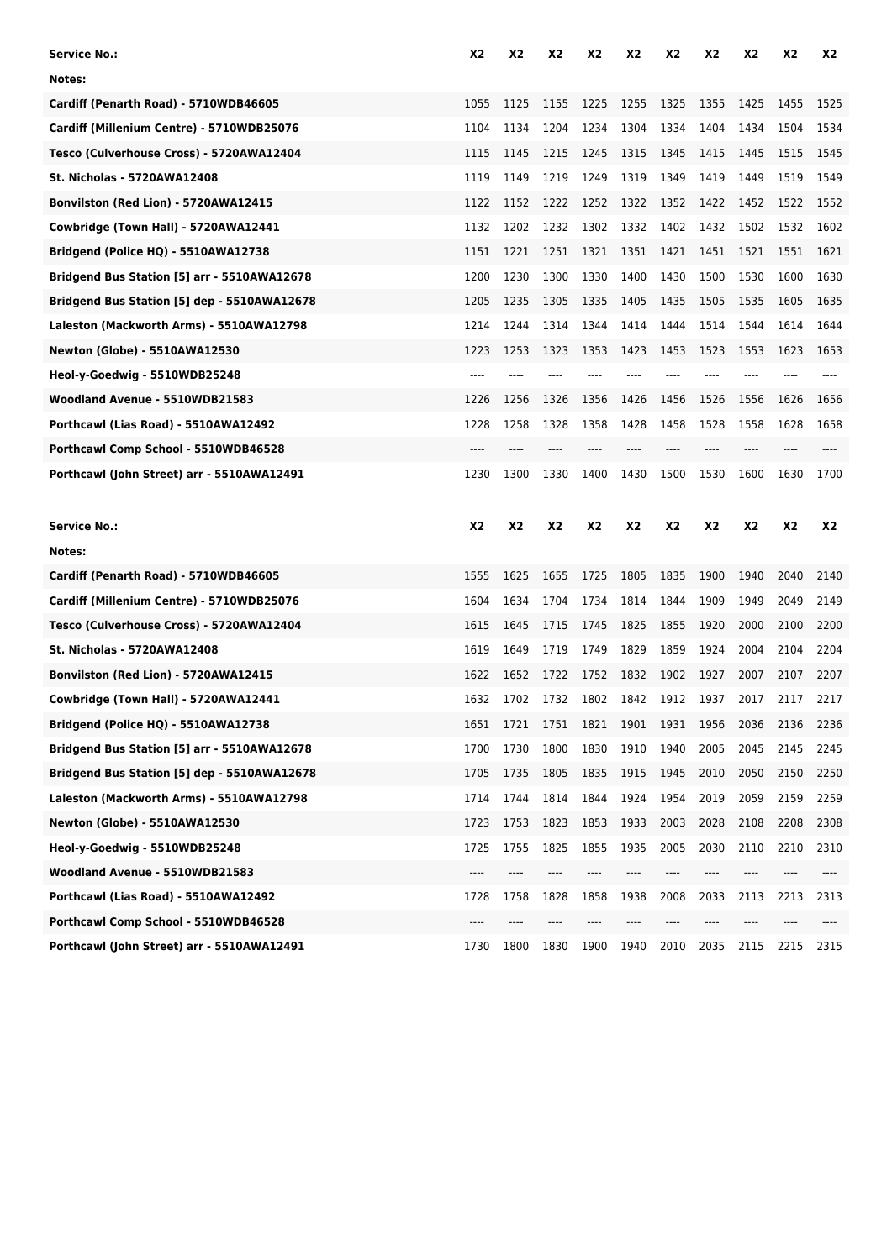| Service No.:                                | X2        | X2             | X <sub>2</sub> | X2    | <b>X2</b> | X <sub>2</sub> | X2        | X2    | X2   | X2    |
|---------------------------------------------|-----------|----------------|----------------|-------|-----------|----------------|-----------|-------|------|-------|
| Notes:                                      |           |                |                |       |           |                |           |       |      |       |
| Cardiff (Penarth Road) - 5710WDB46605       | 1055      | 1125           | 1155           | 1225  | 1255      | 1325           | 1355      | 1425  | 1455 | 1525  |
| Cardiff (Millenium Centre) - 5710WDB25076   | 1104      | 1134           | 1204           | 1234  | 1304      | 1334           | 1404      | 1434  | 1504 | 1534  |
| Tesco (Culverhouse Cross) - 5720AWA12404    | 1115      | 1145           | 1215           | 1245  | 1315      | 1345           | 1415      | 1445  | 1515 | 1545  |
| <b>St. Nicholas - 5720AWA12408</b>          | 1119      | 1149           | 1219           | 1249  | 1319      | 1349           | 1419      | 1449  | 1519 | 1549  |
| Bonvilston (Red Lion) - 5720AWA12415        | 1122      | 1152           | 1222           | 1252  | 1322      | 1352           | 1422      | 1452  | 1522 | 1552  |
| Cowbridge (Town Hall) - 5720AWA12441        | 1132      | 1202           | 1232           | 1302  | 1332      | 1402           | 1432      | 1502  | 1532 | 1602  |
| Bridgend (Police HQ) - 5510AWA12738         | 1151      | 1221           | 1251           | 1321  | 1351      | 1421           | 1451      | 1521  | 1551 | 1621  |
| Bridgend Bus Station [5] arr - 5510AWA12678 | 1200      | 1230           | 1300           | 1330  | 1400      | 1430           | 1500      | 1530  | 1600 | 1630  |
| Bridgend Bus Station [5] dep - 5510AWA12678 | 1205      | 1235           | 1305           | 1335  | 1405      | 1435           | 1505      | 1535  | 1605 | 1635  |
| Laleston (Mackworth Arms) - 5510AWA12798    | 1214      | 1244           | 1314           | 1344  | 1414      | 1444           | 1514      | 1544  | 1614 | 1644  |
| <b>Newton (Globe) - 5510AWA12530</b>        | 1223      | 1253           | 1323           | 1353  | 1423      | 1453           | 1523      | 1553  | 1623 | 1653  |
| Heol-y-Goedwig - 5510WDB25248               | $---$     | ----           | ----           | $---$ | $---$     | $---$          | ----      |       |      | $---$ |
| Woodland Avenue - 5510WDB21583              | 1226      | 1256           | 1326           | 1356  | 1426      | 1456           | 1526      | 1556  | 1626 | 1656  |
| Porthcawl (Lias Road) - 5510AWA12492        | 1228      | 1258           | 1328           | 1358  | 1428      | 1458           | 1528      | 1558  | 1628 | 1658  |
| Porthcawl Comp School - 5510WDB46528        | $---$     | ----           | ----           | $---$ | ----      | ----           | ----      | $---$ | ---- | $---$ |
| Porthcawl (John Street) arr - 5510AWA12491  | 1230      | 1300           | 1330           | 1400  | 1430      | 1500           | 1530      | 1600  | 1630 | 1700  |
|                                             |           |                |                |       |           |                |           |       |      |       |
| <b>Service No.:</b>                         | <b>X2</b> | X <sub>2</sub> | <b>X2</b>      | X2    | X2        | <b>X2</b>      | <b>X2</b> | X2    | X2   | X2    |
| Notes:                                      |           |                |                |       |           |                |           |       |      |       |
| Cardiff (Penarth Road) - 5710WDB46605       | 1555      | 1625           | 1655           | 1725  | 1805      | 1835           | 1900      | 1940  | 2040 | 2140  |
| Cardiff (Millenium Centre) - 5710WDB25076   | 1604      | 1634           | 1704           | 1734  | 1814      | 1844           | 1909      | 1949  | 2049 | 2149  |
| Tesco (Culverhouse Cross) - 5720AWA12404    | 1615      | 1645           | 1715           | 1745  | 1825      | 1855           | 1920      | 2000  | 2100 | 2200  |
| <b>St. Nicholas - 5720AWA12408</b>          | 1619      | 1649           | 1719           | 1749  | 1829      | 1859           | 1924      | 2004  | 2104 | 2204  |
| Bonvilston (Red Lion) - 5720AWA12415        | 1622      | 1652           | 1722           | 1752  | 1832      | 1902           | 1927      | 2007  | 2107 | 2207  |
| Cowbridge (Town Hall) - 5720AWA12441        | 1632      | 1702           | 1732           | 1802  | 1842      | 1912           | 1937      | 2017  | 2117 | 2217  |
| Bridgend (Police HQ) - 5510AWA12738         | 1651      | 1721           | 1751           | 1821  | 1901 1931 |                | 1956      | 2036  | 2136 | 2236  |
| Bridgend Bus Station [5] arr - 5510AWA12678 | 1700      | 1730           | 1800           | 1830  | 1910      | 1940           | 2005      | 2045  | 2145 | 2245  |
| Bridgend Bus Station [5] dep - 5510AWA12678 | 1705      | 1735           | 1805           | 1835  | 1915      | 1945           | 2010      | 2050  | 2150 | 2250  |
| Laleston (Mackworth Arms) - 5510AWA12798    | 1714      | 1744           | 1814           | 1844  | 1924      | 1954           | 2019      | 2059  | 2159 | 2259  |
| <b>Newton (Globe) - 5510AWA12530</b>        | 1723      | 1753           | 1823           | 1853  | 1933      | 2003           | 2028      | 2108  | 2208 | 2308  |
| Heol-y-Goedwig - 5510WDB25248               | 1725      | 1755           | 1825           | 1855  | 1935      | 2005           | 2030      | 2110  | 2210 | 2310  |
| Woodland Avenue - 5510WDB21583              | ----      | ----           | ----           | ----  | ----      | ----           | ----      | ----  | ---- | ----  |
| Porthcawl (Lias Road) - 5510AWA12492        | 1728      | 1758           | 1828           | 1858  | 1938      | 2008           | 2033      | 2113  | 2213 | 2313  |
| Porthcawl Comp School - 5510WDB46528        |           |                |                |       |           |                |           |       |      |       |